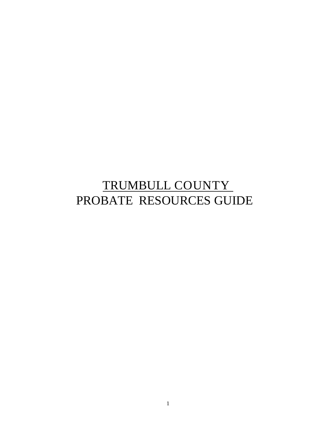# TRUMBULL COUNTY PROBATE RESOURCES GUIDE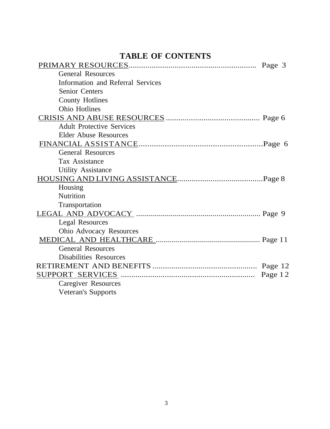| <b>TABLE OF CONTENTS</b>          |  |
|-----------------------------------|--|
|                                   |  |
| <b>General Resources</b>          |  |
| Information and Referral Services |  |
| <b>Senior Centers</b>             |  |
| <b>County Hotlines</b>            |  |
| <b>Ohio Hotlines</b>              |  |
|                                   |  |
| <b>Adult Protective Services</b>  |  |
| <b>Elder Abuse Resources</b>      |  |
|                                   |  |
| <b>General Resources</b>          |  |
| <b>Tax Assistance</b>             |  |
| <b>Utility Assistance</b>         |  |
|                                   |  |
| Housing                           |  |
| Nutrition                         |  |
| Transportation                    |  |
|                                   |  |
| <b>Legal Resources</b>            |  |
| Ohio Advocacy Resources           |  |
|                                   |  |
| <b>General Resources</b>          |  |
| <b>Disabilities Resources</b>     |  |
|                                   |  |
|                                   |  |
| <b>Caregiver Resources</b>        |  |
| <b>Veteran's Supports</b>         |  |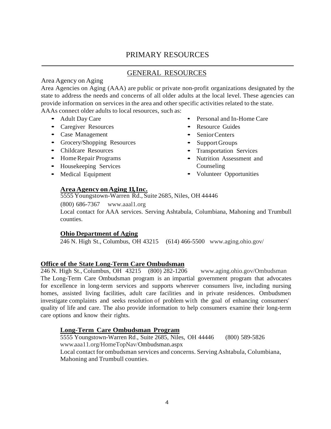# PRIMARY RESOURCES

# GENERAL RESOURCES

#### Area Agency on Aging

Area Agencies on Aging (AAA) are public or private non-profit organizations designated by the state to address the needs and concerns of all older adults at the local level. These agencies can provide information on services in the area and other specific activities related to the state.

AAAs connect older adults to local resources, such as:

- 
- Caregiver Resources
- Case Management
- Grocery/Shopping Resources
- Childcare Resources
- Home Repair Programs
- Housekeeping Services
- Medical Equipment
- Adult Day Care Personal and In-Home Care
	- Resource Guides
	- Senior Centers
	- SupportGroups
	- Transportation Services
	- Nutrition Assessment and Counseling
	- Volunteer Opportunities

# **Area Agency onAging 11,Inc.**

5555 Youngstown-Warren Rd., Suite 2685, Niles, OH 44446

(800) 686-7367 [www.aaal1.org](http://www.aaal1.org/)

Local contact for AAA services. Serving Ashtabula, Columbiana, Mahoning and Trumbull counties.

# **Ohio Department of Aging**

246 N. High St., Columbus, OH 43215 (614) 466-5500 [www.aging.ohio.gov/](http://www.aging.ohio.gov/)

## **Office of the State Long-Term Care Ombudsman**

246 N. High St., Columbus, OH 43215 (800) 282-1206 [www.aging.ohio.gov/Ombudsman](http://www.aging.ohio.gov/Ombudsman) The Long-Term Care Ombudsman program is an impartial government program that advocates for excellence in long-term services and supports wherever consumers live, including nursing homes, assisted living facilities, adult care facilities and in private residences. Ombudsmen investigate complaints and seeks resolution of problem with the goal of enhancing consumers' quality of life and care. The also provide information to help consumers examine their long-term care options and know their rights.

# **Long-Term Care Ombudsman Program**

5555 Youngstown-Warren Rd., Suite 2685, Niles, OH 44446 (800) 589-5826 www.aaa11.org/HomeTopNav/Ombudsman.aspx

Local contact for ombudsman services and concerns. Serving Ashtabula, Columbiana, Mahoning and Trumbull counties.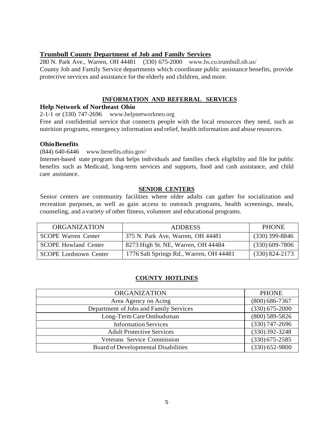# **Trumbull County Department of Job and Family Services**

280 N. Park Ave., Warren, OH 44481 (330) 675-2000 [www.hs.co.trumbull.oh.us/](http://www.hs.co.trumbull.oh.us/) County Job and Family Service departments which coordinate public assistance benefits, provide protective services and assistance for the elderly and children, and more.

# **INFORMATION AND REFERRAL SERVICES**

## **Help Network of Northeast Ohio**

2-1-1 or (330) 747-2696 [www.helpnetworkneo.org](http://www.helpnetworkneo.org/)

Free and confidential service that connects people with the local resources they need, such as nutrition programs, emergency information and relief, health information and abuse resources.

## **OhioBenefits**

(844) 640-6446 [www.benefits.ohio.gov/](http://www.benefits.ohio.gov/)

Internet-based state program that helps individuals and families check eligibility and file for public benefits such as Medicaid, long-term services and supports, food and cash assistance, and child care assistance.

## **SENIOR CENTERS**

Senior centers are community facilities where older adults can gather for socialization and recreation purposes, as well as gain access to outreach programs, health screenings, meals, counseling, and a variety of other fitness, volunteer and educational programs.

| <b>ORGANIZATION</b>           | <b>ADDRESS</b>                          | <b>PHONE</b>       |
|-------------------------------|-----------------------------------------|--------------------|
| <b>SCOPE Warren Center</b>    | 375 N. Park Ave, Warren, OH 44481       | $(330)$ 399-8846   |
| <b>SCOPE Howland Center</b>   | 8273 High St. NE, Warren, OH 44484      | $(330)$ 609-7806   |
| <b>SCOPE Lordstown Center</b> | 1776 Salt Springs Rd., Warren, OH 44481 | $(330) 824 - 2173$ |

## **COUNTY HOTLINES**

| <b>ORGANIZATION</b>                        | <b>PHONE</b>       |
|--------------------------------------------|--------------------|
| Area Agency on Acing                       | $(800)$ 686-7367   |
| Department of Jobs and Family Services     | $(330)$ 675-2000   |
| Long-Term Care Ombudsman                   | $(800)$ 589-5826   |
| <b>Information Services</b>                | $(330)$ 747-2696   |
| <b>Adult Protective Services</b>           | $(330)$ 392-3248   |
| <b>Veterans Service Commission</b>         | $(330)$ 675-2585   |
| <b>Board of Developmental Disabilities</b> | $(330) 652 - 9800$ |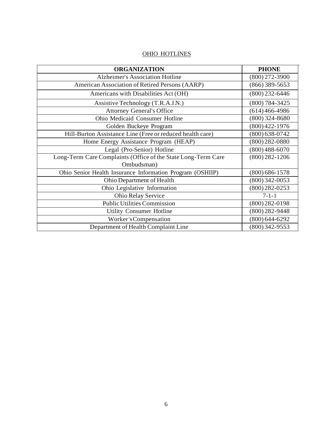# OHIO HOTLINES

| <b>ORGANIZATION</b>                                           | <b>PHONE</b>       |
|---------------------------------------------------------------|--------------------|
| <b>Alzheimer's Association Hotline</b>                        | $(800)$ 272-3900   |
| American Association of Retired Persons (AARP)                | $(866)$ 389-5653   |
| Americans with Disabilities Act (OH)                          | $(800)$ 232-6446   |
| Assistive Technology (T.R.A.IN.)                              | $(800) 784 - 3425$ |
| <b>Attorney General's Office</b>                              | $(614)466-4986$    |
| Ohio Medicaid Consumer Hotline                                | $(800)$ 324-8680   |
| Golden Buckeye Program                                        | $(800)$ 422-1976   |
| Hill-Burton Assistance Line (Free or reduced health care)     | $(800) 638 - 0742$ |
| Home Energy Assistance Program (HEAP)                         | $(800)$ 282-0880   |
| Legal (Pro-Senior) Hotline                                    | $(800)$ 488-6070   |
| Long-Term Care Complaints (Office of the State Long-Term Care | $(800)$ 282-1206   |
| Ombudsman)                                                    |                    |
| Ohio Senior Health Insurance Information Program (OSHIIP)     | $(800) 686 - 1578$ |
| Ohio Department of Health                                     | $(800)$ 342-0053   |
| Ohio Legislative Information                                  | $(800)$ 282-0253   |
| Ohio Relay Service                                            | $7 - 1 - 1$        |
| <b>Public Utilities Commission</b>                            | $(800)$ 282-0198   |
| <b>Utility Consumer Hotline</b>                               | $(800)$ 282-9448   |
| Worker's Compensation                                         | $(800) 644 - 6292$ |
| Department of Health Complaint Line                           | $(800)$ 342-9553   |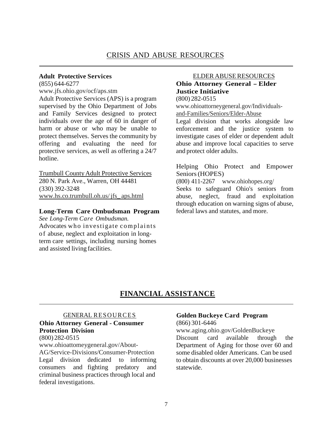#### **Adult Protective Services**

(855) 644-6277 [www.jfs.ohio.gov/ocf/aps.stm](http://www.jfs.ohio.gov/ocf/aps.stm)

Adult Protective Services (APS) is a program supervised by the Ohio Department of Jobs and Family Services designed to protect individuals over the age of 60 in danger of harm or abuse or who may be unable to protect themselves. Serves the community by offering and evaluating the need for protective services, as well as offering a 24/7 hotline.

Trumbull CountyAdult Protective Services 280 N. Park Ave., Warren, OH 44481 (330) 392-3248 [www.hs.co.trumbull.oh.us/j](http://www.hs.co.trumbull.oh.us/)fs\_ aps.html

#### **Long-Term Care Ombudsman Program**

*See Long-Term Care Ombudsman.* Advocates who investigate complaints o f abuse, neglect and exploitation in longterm care settings, including nursing homes and assisted living facilities.

# ELDER ABUSERESOURCES

## **Ohio Attorney General -Elder Justice Initiative** (800) 282-0515

www.ohioattorneygeneral.gov/Individualsand-Families/Seniors/Elder-Abuse

Legal division that works alongside law enforcement and the justice system to investigate cases of elder or dependent adult abuse and improve local capacities to serve and protect older adults.

Helping Ohio Protect and Empower Seniors(HOPES)

(800) 411-2267 [www.ohiohopes.org/](http://www.ohiohopes.org/)

Seeks to safeguard Ohio's seniors from abuse, neglect, fraud and exploitation through education on warning signs of abuse, federal laws and statutes, and more.

# **FINANCIAL ASSISTANCE**

# GENERAL RESOURCES

# **Ohio Attorney General - Consumer Protection Division**

# (800) 282-0515

[www.ohioattomeygeneral.gov/About-](http://www.ohioattomeygeneral.gov/About)

AG/Service-Divisions/Consumer-Protection Legal division dedicated to informing consumers and fighting predatory and criminal business practices through local and federal investigations.

# **Golden Buckeye Card Program**

(866) 301-6446

[www.aging.ohio.gov/GoldenBuckeye](http://www.aging.ohio.gov/GoldenBuckeye) Discount card available through the Department of Aging for those over 60 and some disabled older Americans. Can be used to obtain discounts at over 20,000 businesses statewide.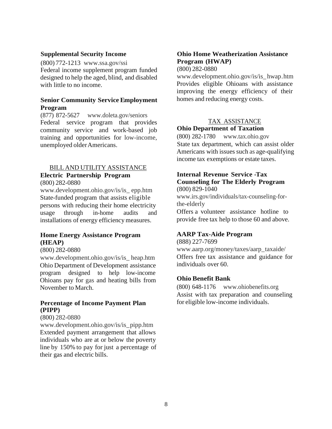#### **Supplemental Security Income**

(800) 772-1213 [www.ssa.gov/ssi](http://www.ssa.gov/ssi) Federal income supplement program funded designed to help the aged, blind, and disabled with little to no income.

## **Senior Community Service Employment Program**

(877) 872-5627 [www.doleta.gov/seniors](http://www.doleta.gov/seniors) Federal service program that provides community service and work-based job training and opportunities for low-income, unemployed olderAmericans.

# BILL AND UTILITY ASSISTANCE **Electric Partnership Program**

(800) 282-0880

[www.development.ohio.gov/is/is\\_](http://www.development.ohio.gov/is/is) epp.htm State-funded program that assists eligible persons with reducing their home electricity usage through in-home audits and installations of energy efficiency measures.

# **Home Energy Assistance Program (HEAP)**

(800) 282-0880

[www.development.ohio.gov/is/is\\_](http://www.development.ohio.gov/is/is) heap.htm Ohio Department of Development assistance program designed to help low-income Ohioans pay for gas and heating bills from November to March.

# **Percentage of Income Payment Plan (PIPP)**

(800) 282-0880

[www.development.ohio.gov/is/is\\_](http://www.development.ohio.gov/is/is)pipp.htm Extended payment arrangement that allows individuals who are at or below the poverty line by 150% to pay for just a percentage of their gas and electric bills.

# **Ohio Home Weatherization Assistance Program (HWAP)**

(800) 282-0880

[www.development.ohio.gov/is/is\\_](http://www.development.ohio.gov/is/is)hwap.htm Provides eligible Ohioans with assistance improving the energy efficiency of their homes and reducing energy costs.

# TAX ASSISTANCE

# **Ohio Department of Taxation**

(800) 282-1780 [www.tax.ohio.gov](http://www.tax.ohio.gov/) State tax department, which can assist older Americans with issues such as age-qualifying income tax exemptions or estate taxes.

#### **Internal Revenue Service -Tax Counseling for The Elderly Program** (800) 829-1040

[www.irs.gov/individuals/tax-counseling-for](http://www.irs.gov/individuals/tax-counseling-for)the-elderly

Offers a volunteer assistance hotline to provide free tax help to those 60 and above.

## **AARP Tax-Aide Program**

(888) 227-7699

[www.aarp.org/money/taxes/aarp\\_](http://www.aarp.org/money/taxes/aarp)taxaide/ Offers free tax assistance and guidance for individuals over 60.

## **Ohio Benefit Bank**

(800) 648-1176 www.ohiobenefits.org Assist with tax preparation and counseling for eligible low-income individuals.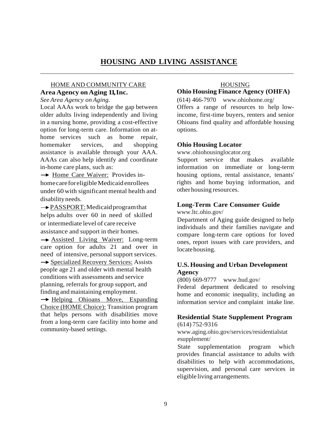## HOME AND COMMUNITY CARE **Area Agency onAging 11,Inc.**

*See Area Agency on Aging.*

Local AAAs work to bridge the gap between older adults living independently and living in a nursing home, providing a cost-effective option for long-term care. Information on athome services such as home repair, homemaker services, and shopping assistance is available through your AAA. AAAs can also help identify and coordinate in-home care plans, such as:

 $\rightarrow$  Home Care Waiver: Provides inhomecareforeligibleMedicaid enrollees under 60 with significant mental health and disabilityneeds.

→ PASSPORT: Medicaid program that helps adults over 60 in need of skilled or intermediate level of care receive assistance and support in their homes. **→** Assisted Living Waiver: Long-term care option for adults 21 and over in need of intensive, personal support services. **→ Specialized Recovery Services: Assists** people age 21 and older with mental health conditions with assessments and service planning, referrals for group support, and finding and maintaining employment.

 $\rightarrow$  Helping Ohioans Move, Expanding Choice (HOME Choice): Transition program that helps persons with disabilities move from a long-term care facility into home and community-based settings.

## HOUSING **Ohio Housing Finance Agency (OHFA)**

(614) 466-7970 [www.ohiohome.org/](http://www.ohiohome.org/) Offers a range of resources to help lowincome, first-time buyers, renters and senior Ohioans find quality and affordable housing options.

# **Ohio Housing Locator**

www.ohiohousinglocator.org

Support service that makes available information on immediate or long-term housing options, rental assistance, tenants' rights and home buying information, and other housing resources.

# **Long-Term Care Consumer Guide**

[www.ltc.ohio.gov/](http://www.ltc.ohio.gov/)

Department of Aging guide designed to help individuals and their families navigate and compare long-term care options for loved ones, report issues with care providers, and locatehousing.

# **U.S.Housing and Urban Development Agency**

(800) 669-9777 [www.hud.gov/](http://www.hud.gov/)

Federal department dedicated to resolving home and economic inequality, including an information service and complaint intake line.

#### **Residential State Supplement Program** (614) 752-9316

[www.aging.ohio.gov/services/residentialstat](http://www.aging.ohio.gov/services/residentialstat) esupplement/

State supplementation program which provides financial assistance to adults with disabilities to help with accommodations, supervision, and personal care services in eligible living arrangements.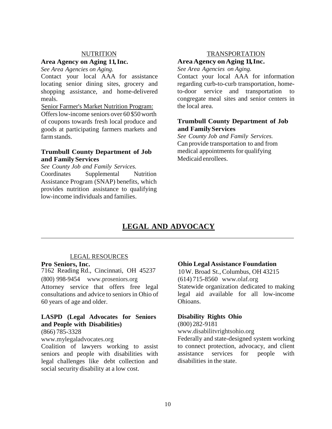#### **NUTRITION**

#### **Area Agency on Aging 11,Inc.**

*See Area Agencies on Aging.*

Contact your local AAA for assistance locating senior dining sites, grocery and shopping assistance, and home-delivered meals.

Senior Farmer's Market Nutrition Program: Offerslow-income seniors over 60 \$50worth of coupons towards fresh local produce and goods at participating farmers markets and

#### **Trumbull County Department of Job and FamilyServices**

*See County Job and Family Services.* Coordinates Supplemental Nutrition Assistance Program (SNAP) benefits, which provides nutrition assistance to qualifying low-income individuals and families.

#### TRANSPORTATION

# **AreaAgency onAging 11,Inc.**

*See Area Agencies on Aging.*

Contact your local AAA for information regarding curb-to-curb transportation, hometo-door service and transportation to congregate meal sites and senior centers in the local area.

## **Trumbull County Department of Job and FamilyServices**

*See County Job and Family Services.* Can provide transportation to and from medical appointments for qualifying Medicaid enrollees.

# **LEGAL AND ADVOCACY**

#### LEGAL RESOURCES

#### **Pro Seniors, Inc.**

farmstands.

7162 Reading Rd., Cincinnati, OH 45237 (800) 998-9454 [www.proseniors.org](http://www.proseniors.org/) Attorney service that offers free legal consultations and advice to seniors in Ohio of 60 years of age and older.

# **LASPD (Legal Advocates for Seniors and People with Disabilities)**

(866) 785-3328

[www.mylegaladvocates.org](http://www.mylegaladvocates.org/)

Coalition of lawyers working to assist seniors and people with disabilities with legal challenges like debt collection and social security disability at a low cost.

#### **Ohio Legal Assistance Foundation**

10W. Broad St., Columbus, OH 43215 (614) 715-8560 [www.olaf.org](http://www.olaf.org/) Statewide organization dedicated to making legal aid available for all low-income Ohioans.

#### **Disability Rights Ohio**

#### (800) 282-9181

[www.disabilitvrightsohio.org](http://www.disabilitvrightsohio.org/)

Federally and state-designed system working to connect protection, advocacy, and client assistance services for people with disabilities in the state.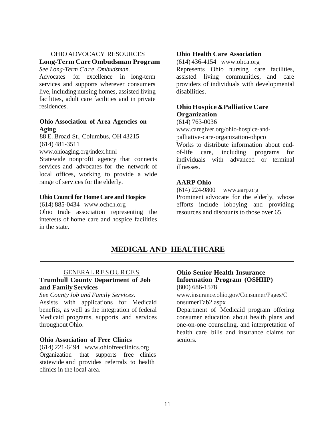#### OHIO ADVOCACY RESOURCES

# **Long-Term CareOmbudsman Program**

*See Long-Term Care Ombudsman.* Advocates for excellence in long-term services and supports wherever consumers live, including nursing homes, assisted living facilities, adult care facilities and in private residences.

#### **Ohio Association of Area Agencies on Aging**

88 E. Broad St., Columbus, OH 43215 (614) 481-3511

[www.ohioaging.org/index.](http://www.ohioaging.org/index)html

Statewide nonprofit agency that connects services and advocates for the network of local offices, working to provide a wide range of services for the elderly.

#### **Ohio Council for Home Care and Hospice**

(614) 885-0434 [www.ochch.org](http://www.ochch.org/)

Ohio trade association representing the interests of home care and hospice facilities in the state.

## **Ohio Health Care Association**

(614) 436-4154 [www.ohca.org](http://www.ohca.org/)

Represents Ohio nursing care facilities, assisted living communities, and care providers of individuals with developmental disabilities.

# **OhioHospice &Palliative Care Organization**

#### (614) 763-0036

[www.caregiver.org/ohio-hospice-and-](http://www.caregiver.org/ohio-hospice-and)

palliative-care-organization-ohpco

Works to distribute information about endof-life care, including programs for individuals with advanced or terminal illnesses.

#### **AARP Ohio**

(614) 224-9800 [www.aarp.org](http://www.aarp.org/) Prominent advocate for the elderly, whose efforts include lobbying and providing resources and discounts to those over 65.

# **MEDICAL AND HEALTHCARE**

#### GENERAL RESOURCES

## **Trumbull County Department of Job and Family Services**

*See County Job and Family Services.* Assists with applications for Medicaid benefits, as well as the integration of federal Medicaid programs, supports and services throughout Ohio.

#### **Ohio Association of Free Clinics**

(614) 221-6494 [www.ohiofreeclinics.org](http://www.ohiofreeclinics.org/) Organization that supports free clinics statewide and provides referrals to health clinics in the local area.

#### **Ohio Senior Health Insurance Information Program (OSHIIP)** (800) 686-1578

www.insurance.ohio.gov/Consumer/Pages/C onsumerTab2.aspx

Department of Medicaid program offering consumer education about health plans and one-on-one counseling, and interpretation of health care bills and insurance claims for seniors.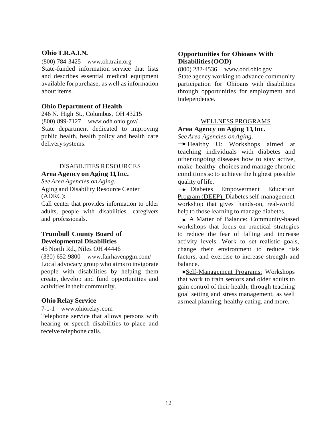#### **OhioT.R.A.I.N.**

(800) 784-3425 [www.oh.train.org](http://www.oh.train.org/) State-funded information service that lists and describes essential medical equipment available for purchase, as well asinformation about items.

#### **Ohio Department of Health**

246 N. High St., Columbus, OH 43215 (800) 899-7127 [www.odh.ohio.gov/](http://www.odh.ohio.gov/) State department dedicated to improving public health, health policy and health care delivery systems.

## DISABILITIES RESOURCES **Area Agency onAging 11,Inc.**

*See Area Agencies onAging.* Aging and Disability Resource Center (ADRC):

Call center that provides information to older adults, people with disabilities, caregivers and professionals.

# **Trumbull County Board of Developmental Disabilities**

45 North Rd., Niles OH 44446

(330) 652-9800 [www.fairhavenpgm.com/](http://www.fairhavenpgm.com/) Local advocacy group who aims to invigorate people with disabilities by helping them create, develop and fund opportunities and activities in their community.

#### **Ohio Relay Service**

7-1-1 www.ohiorelay.com

Telephone service that allows persons with hearing or speech disabilities to place and receive telephone calls.

## **Opportunities for Ohioans With Disabilities(OOD)**

(800) 282-4536 [www.ood.ohio.g](http://www.ood.ohio/)ov State agency working to advance community participation for Ohioans with disabilities through opportunities for employment and independence.

#### WELLNESS PROGRAMS

#### **Area Agency on Aging 11,Inc.**

*See Area Agencies onAging.*

→ Healthy U: Workshops aimed at teaching individuals with diabetes and other ongoing diseases how to stay active, make healthy choices and manage chronic conditionsso to achieve the highest possible quality of life.

 $\rightarrow$  Diabetes Empowerment Education Program (DEEP): Diabetes self-management workshop that gives hands-on, real-world help to those learning to manage diabetes.

A Matter of Balance: Community-based workshops that focus on practical strategies to reduce the fear of falling and increase activity levels. Work to set realistic goals, change their environment to reduce risk factors, and exercise to increase strength and balance.

 Self-Management Programs: Workshops that work to train seniors and older adults to gain control of their health, through teaching goal setting and stress management, as well as meal planning, healthy eating, and more.